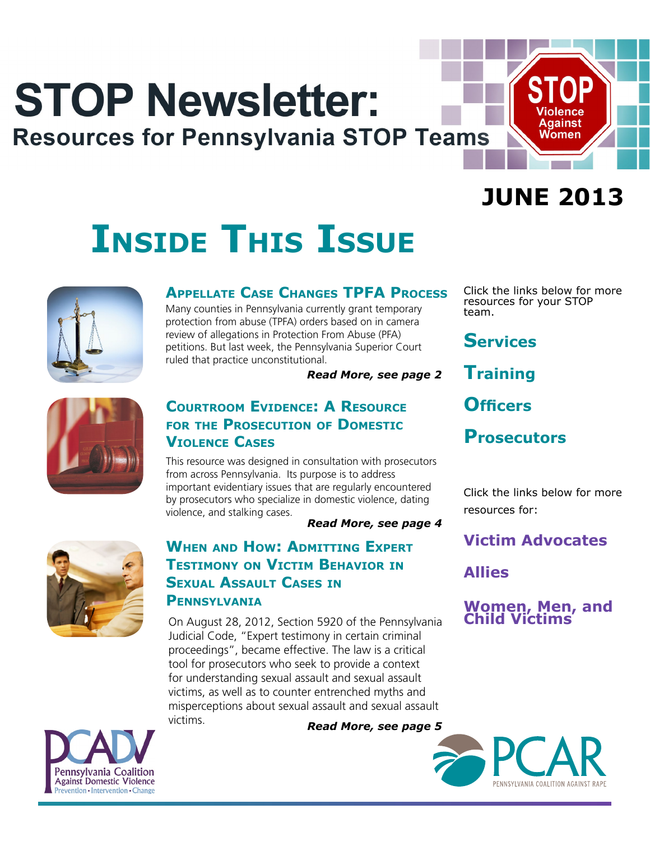**STOP Newsletter:** 

**Resources for Pennsylvania STOP Teams** 

**Inside This Issue**

### **JUNE 2013**

/iolence **Against** 

Women

### **[Appellate Case Changes TPFA Process](#page-1-0)**

Many counties in Pennsylvania currently grant temporary protection from abuse (TPFA) orders based on in camera review of allegations in Protection From Abuse (PFA) petitions. But last week, the Pennsylvania Superior Court ruled that practice unconstitutional.

#### *Read More, see page 2*



### **Courtroom Evidence: A Resource for the Prosecution of Domestic Violence Cases**

[This resource was designed in consultation with prosecutors](#page-3-0)  from across Pennsylvania. Its purpose is to address important evidentiary issues that are regularly encountered by prosecutors who specialize in domestic violence, dating violence, and stalking cases.

*Read More, see page 4*



### **When and How: Admitting Expert Testimony on Victim Behavior in Sexual Assault Cases in Pennsylvania**

[On August 28, 2012, Section 5920 of the Pennsylvania](#page-4-0)  Judicial Code, "Expert testimony in certain criminal proceedings", became effective. The law is a critical tool for prosecutors who seek to provide a context for understanding sexual assault and sexual assault victims, as well as to counter entrenched myths and misperceptions about sexual assault and sexual assault victims.



*Read More, see page 5*



Click the links below for more resources for your STOP team.

**[Services](http://pubs.pcadv.net/palegal/STOP/SERVICES.pdf)**

**[Training](http://pubs.pcadv.net/palegal/STOP/TRAINING.pdf)**

**O[fficers](http://pubs.pcadv.net/palegal/STOP/OFFICERS.pdf)**

**[Prosecutors](http://pubs.pcadv.net/palegal/STOP/PROSECUTORS.pdf)**

Click the links below for more resources for:

### **[Victim Advocates](http://pubs.pcadv.net/palegal/STOP/VIC_ADV.pdf)**

**[Allies](http://pubs.pcadv.net/palegal/STOP/ALLIES.pdf)**

**[Women, Men, and](http://pubs.pcadv.net/palegal/STOP/WO_MEN_CH.pdf)  Child Victims**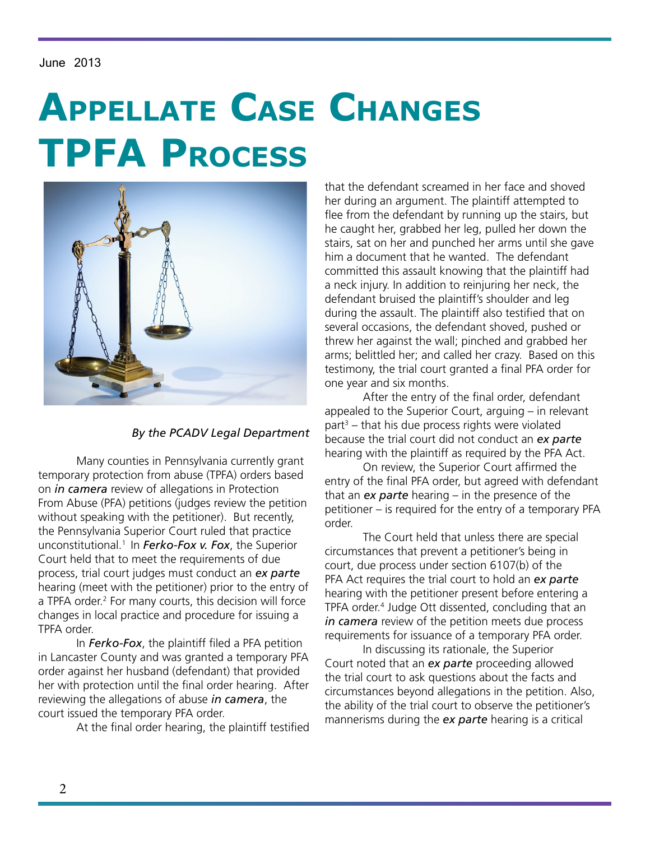## <span id="page-1-0"></span>**Appellate Case Changes TPFA Process**



### *By the PCADV Legal Department*

Many counties in Pennsylvania currently grant temporary protection from abuse (TPFA) orders based on *in camera* review of allegations in Protection From Abuse (PFA) petitions (judges review the petition without speaking with the petitioner). But recently, the Pennsylvania Superior Court ruled that practice unconstitutional.1 In *Ferko-Fox v. Fox*, the Superior Court held that to meet the requirements of due process, trial court judges must conduct an *ex parte* hearing (meet with the petitioner) prior to the entry of a TPFA order.<sup>2</sup> For many courts, this decision will force changes in local practice and procedure for issuing a TPFA order.

In *Ferko-Fox*, the plaintiff filed a PFA petition in Lancaster County and was granted a temporary PFA order against her husband (defendant) that provided her with protection until the final order hearing. After reviewing the allegations of abuse *in camera*, the court issued the temporary PFA order.

At the final order hearing, the plaintiff testified

that the defendant screamed in her face and shoved her during an argument. The plaintiff attempted to flee from the defendant by running up the stairs, but he caught her, grabbed her leg, pulled her down the stairs, sat on her and punched her arms until she gave him a document that he wanted. The defendant committed this assault knowing that the plaintiff had a neck injury. In addition to reinjuring her neck, the defendant bruised the plaintiff's shoulder and leg during the assault. The plaintiff also testified that on several occasions, the defendant shoved, pushed or threw her against the wall; pinched and grabbed her arms; belittled her; and called her crazy. Based on this testimony, the trial court granted a final PFA order for one year and six months.

After the entry of the final order, defendant appealed to the Superior Court, arguing – in relevant part3 – that his due process rights were violated because the trial court did not conduct an *ex parte* hearing with the plaintiff as required by the PFA Act.

On review, the Superior Court affirmed the entry of the final PFA order, but agreed with defendant that an *ex parte* hearing – in the presence of the petitioner – is required for the entry of a temporary PFA order.

The Court held that unless there are special circumstances that prevent a petitioner's being in court, due process under section 6107(b) of the PFA Act requires the trial court to hold an *ex parte* hearing with the petitioner present before entering a TPFA order.4 Judge Ott dissented, concluding that an *in camera* review of the petition meets due process requirements for issuance of a temporary PFA order.

In discussing its rationale, the Superior Court noted that an *ex parte* proceeding allowed the trial court to ask questions about the facts and circumstances beyond allegations in the petition. Also, the ability of the trial court to observe the petitioner's mannerisms during the *ex parte* hearing is a critical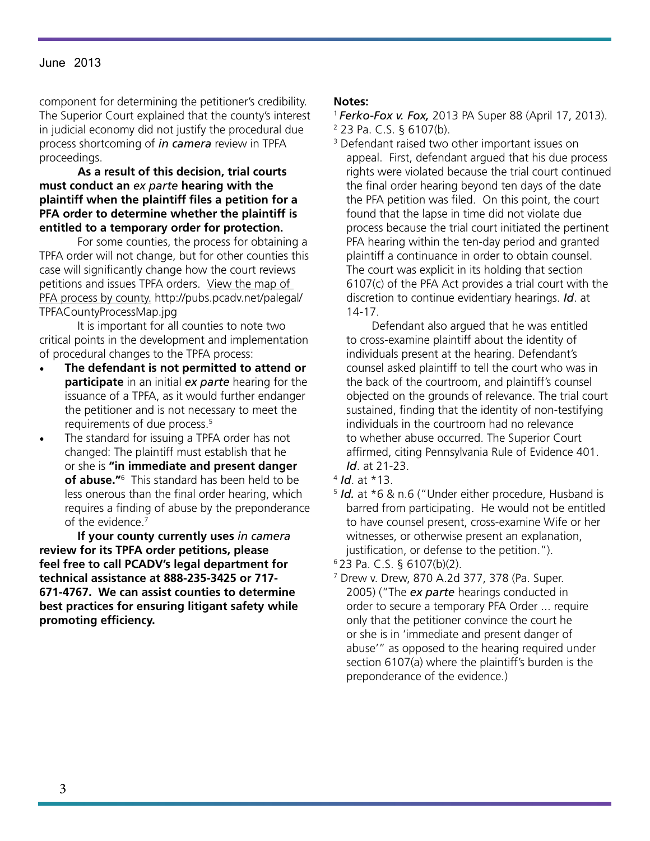component for determining the petitioner's credibility. The Superior Court explained that the county's interest in judicial economy did not justify the procedural due process shortcoming of *in camera* review in TPFA proceedings.

### **As a result of this decision, trial courts must conduct an** *ex parte* **hearing with the plaintiff when the plaintiff files a petition for a PFA order to determine whether the plaintiff is entitled to a temporary order for protection.**

For some counties, the process for obtaining a TPFA order will not change, but for other counties this case will significantly change how the court reviews petitions and issues TPFA orders. View the map of PFA process by county. http://pubs.pcadv.net/palegal/ TPFACountyProcessMap.jpg

It is important for all counties to note two critical points in the development and implementation of procedural changes to the TPFA process:

- The defendant is not permitted to attend or **participate** in an initial *ex parte* hearing for the issuance of a TPFA, as it would further endanger the petitioner and is not necessary to meet the requirements of due process.<sup>5</sup>
- The standard for issuing a TPFA order has not changed: The plaintiff must establish that he or she is **"in immediate and present danger of abuse."**<sup>6</sup> This standard has been held to be less onerous than the final order hearing, which requires a finding of abuse by the preponderance of the evidence.7

**If your county currently uses** *in camera*  **review for its TPFA order petitions, please feel free to call PCADV's legal department for technical assistance at 888-235-3425 or 717- 671-4767. We can assist counties to determine best practices for ensuring litigant safety while promoting efficiency.**

### **Notes:**

- <sup>1</sup>*Ferko-Fox v. Fox,* 2013 PA Super 88 (April 17, 2013). 2 23 Pa. C.S. § 6107(b).
- <sup>3</sup> Defendant raised two other important issues on appeal. First, defendant argued that his due process rights were violated because the trial court continued the final order hearing beyond ten days of the date the PFA petition was filed. On this point, the court found that the lapse in time did not violate due process because the trial court initiated the pertinent PFA hearing within the ten-day period and granted plaintiff a continuance in order to obtain counsel. The court was explicit in its holding that section 6107(c) of the PFA Act provides a trial court with the discretion to continue evidentiary hearings. *Id*. at 14-17.

Defendant also argued that he was entitled to cross-examine plaintiff about the identity of individuals present at the hearing. Defendant's counsel asked plaintiff to tell the court who was in the back of the courtroom, and plaintiff's counsel objected on the grounds of relevance. The trial court sustained, finding that the identity of non-testifying individuals in the courtroom had no relevance to whether abuse occurred. The Superior Court affirmed, citing Pennsylvania Rule of Evidence 401. *Id*. at 21-23.

- 4  *Id*. at \*13.
- <sup>5</sup> *Id.* at \*6 & n.6 ("Under either procedure, Husband is barred from participating. He would not be entitled to have counsel present, cross-examine Wife or her witnesses, or otherwise present an explanation, justification, or defense to the petition.").
- 6 23 Pa. C.S. § 6107(b)(2).
- 7 Drew v. Drew, 870 A.2d 377, 378 (Pa. Super. 2005) ("The *ex parte* hearings conducted in order to secure a temporary PFA Order ... require only that the petitioner convince the court he or she is in 'immediate and present danger of abuse'" as opposed to the hearing required under section 6107(a) where the plaintiff's burden is the preponderance of the evidence.)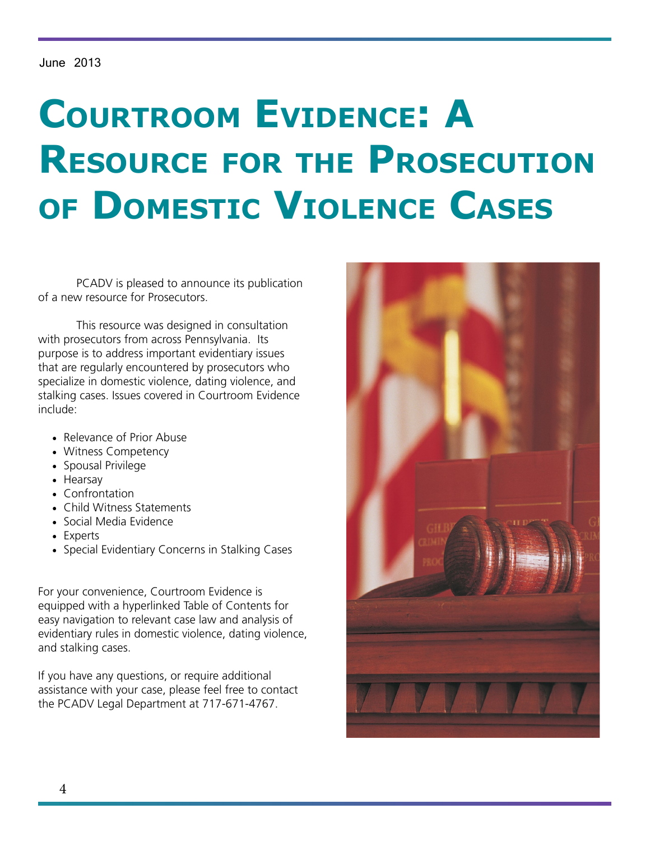# <span id="page-3-0"></span>**Courtroom Evidence: A Resource for the Prosecution of Domestic Violence Cases**

PCADV is pleased to announce its publication of a new resource for Prosecutors.

This resource was designed in consultation with prosecutors from across Pennsylvania. Its purpose is to address important evidentiary issues that are regularly encountered by prosecutors who specialize in domestic violence, dating violence, and stalking cases. Issues covered in Courtroom Evidence include:

- Relevance of Prior Abuse
- • Witness Competency
- • Spousal Privilege
- Hearsay
- Confrontation
- Child Witness Statements
- Social Media Evidence
- Experts
- Special Evidentiary Concerns in Stalking Cases

For your convenience[, Courtroom Evidence i](http://pubs.pcadv.net/palegal/ProsRes03012013.pdf)s equipped with a hyperlinked Table of Contents for easy navigation to relevant case law and analysis of evidentiary rules in domestic violence, dating violence, and stalking cases.

If you have any questions, or require additional assistance with your case, please feel free to contact the PCADV Legal Department at 717-671-4767.

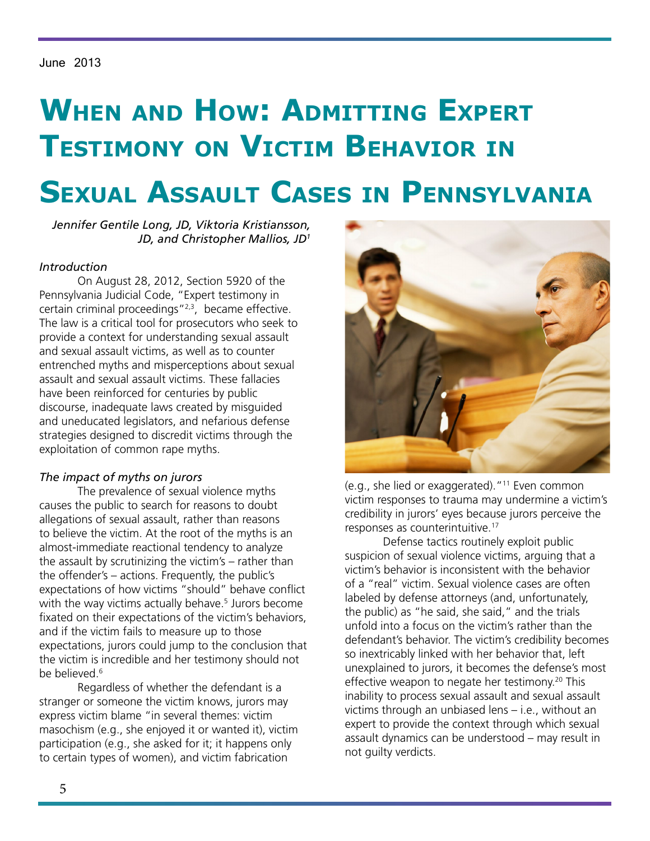### <span id="page-4-0"></span>**When and How: Admitting Expert Testimony on Victim Behavior in Sexual Assault Cases in Pennsylvania**

*Jennifer Gentile Long, JD, Viktoria Kristiansson, JD, and Christopher Mallios, JD1*

### *Introduction*

On August 28, 2012, Section 5920 of the Pennsylvania Judicial Code, "Expert testimony in certain criminal proceedings"<sup>2,3</sup>, became effective. The law is a critical tool for prosecutors who seek to provide a context for understanding sexual assault and sexual assault victims, as well as to counter entrenched myths and misperceptions about sexual assault and sexual assault victims. These fallacies have been reinforced for centuries by public discourse, inadequate laws created by misguided and uneducated legislators, and nefarious defense strategies designed to discredit victims through the exploitation of common rape myths.

### *The impact of myths on jurors*

The prevalence of sexual violence myths causes the public to search for reasons to doubt allegations of sexual assault, rather than reasons to believe the victim. At the root of the myths is an almost-immediate reactional tendency to analyze the assault by scrutinizing the victim's – rather than the offender's – actions. Frequently, the public's expectations of how victims "should" behave conflict with the way victims actually behave.<sup>5</sup> Jurors become fixated on their expectations of the victim's behaviors, and if the victim fails to measure up to those expectations, jurors could jump to the conclusion that the victim is incredible and her testimony should not be believed.<sup>6</sup>

Regardless of whether the defendant is a stranger or someone the victim knows, jurors may express victim blame "in several themes: victim masochism (e.g., she enjoyed it or wanted it), victim participation (e.g., she asked for it; it happens only to certain types of women), and victim fabrication



(e.g., she lied or exaggerated)."11 Even common victim responses to trauma may undermine a victim's credibility in jurors' eyes because jurors perceive the responses as counterintuitive.17

Defense tactics routinely exploit public suspicion of sexual violence victims, arguing that a victim's behavior is inconsistent with the behavior of a "real" victim. Sexual violence cases are often labeled by defense attorneys (and, unfortunately, the public) as "he said, she said," and the trials unfold into a focus on the victim's rather than the defendant's behavior. The victim's credibility becomes so inextricably linked with her behavior that, left unexplained to jurors, it becomes the defense's most effective weapon to negate her testimony.<sup>20</sup> This inability to process sexual assault and sexual assault victims through an unbiased lens – i.e., without an expert to provide the context through which sexual assault dynamics can be understood – may result in not guilty verdicts.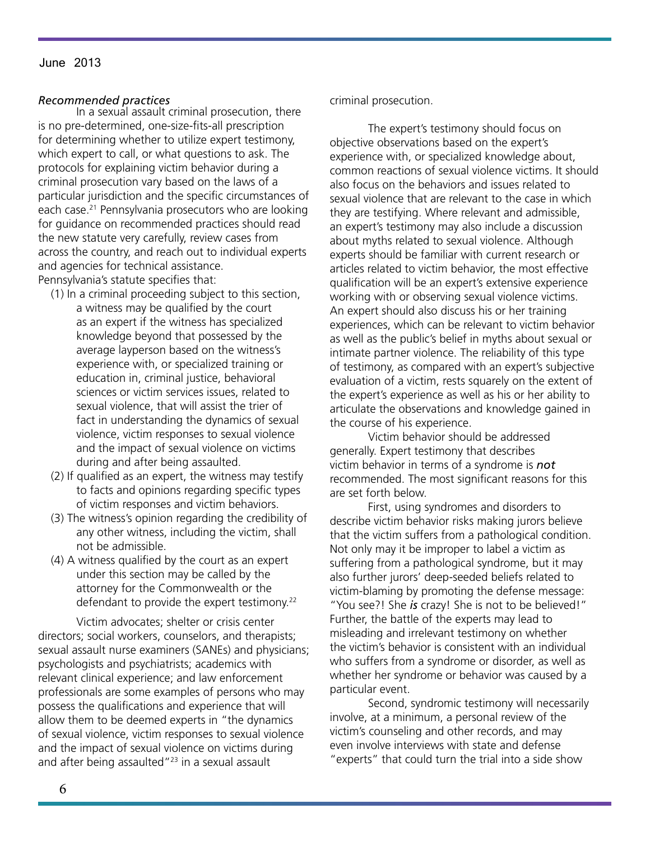### *Recommended practices*

In a sexual assault criminal prosecution, there is no pre-determined, one-size-fits-all prescription for determining whether to utilize expert testimony, which expert to call, or what questions to ask. The protocols for explaining victim behavior during a criminal prosecution vary based on the laws of a particular jurisdiction and the specific circumstances of each case.<sup>21</sup> Pennsylvania prosecutors who are looking for guidance on recommended practices should read the new statute very carefully, review cases from across the country, and reach out to individual experts and agencies for technical assistance.

Pennsylvania's statute specifies that:

- (1) In a criminal proceeding subject to this section, a witness may be qualified by the court as an expert if the witness has specialized knowledge beyond that possessed by the average layperson based on the witness's experience with, or specialized training or education in, criminal justice, behavioral sciences or victim services issues, related to sexual violence, that will assist the trier of fact in understanding the dynamics of sexual violence, victim responses to sexual violence and the impact of sexual violence on victims during and after being assaulted.
- (2) If qualified as an expert, the witness may testify to facts and opinions regarding specific types of victim responses and victim behaviors.
- (3) The witness's opinion regarding the credibility of any other witness, including the victim, shall not be admissible.
- (4) A witness qualified by the court as an expert under this section may be called by the attorney for the Commonwealth or the defendant to provide the expert testimony.<sup>22</sup>

Victim advocates; shelter or crisis center directors; social workers, counselors, and therapists; sexual assault nurse examiners (SANEs) and physicians; psychologists and psychiatrists; academics with relevant clinical experience; and law enforcement professionals are some examples of persons who may possess the qualifications and experience that will allow them to be deemed experts in "the dynamics of sexual violence, victim responses to sexual violence and the impact of sexual violence on victims during and after being assaulted"<sup>23</sup> in a sexual assault

criminal prosecution.

The expert's testimony should focus on objective observations based on the expert's experience with, or specialized knowledge about, common reactions of sexual violence victims. It should also focus on the behaviors and issues related to sexual violence that are relevant to the case in which they are testifying. Where relevant and admissible, an expert's testimony may also include a discussion about myths related to sexual violence. Although experts should be familiar with current research or articles related to victim behavior, the most effective qualification will be an expert's extensive experience working with or observing sexual violence victims. An expert should also discuss his or her training experiences, which can be relevant to victim behavior as well as the public's belief in myths about sexual or intimate partner violence. The reliability of this type of testimony, as compared with an expert's subjective evaluation of a victim, rests squarely on the extent of the expert's experience as well as his or her ability to articulate the observations and knowledge gained in the course of his experience.

Victim behavior should be addressed generally. Expert testimony that describes victim behavior in terms of a syndrome is *not*  recommended. The most significant reasons for this are set forth below.

First, using syndromes and disorders to describe victim behavior risks making jurors believe that the victim suffers from a pathological condition. Not only may it be improper to label a victim as suffering from a pathological syndrome, but it may also further jurors' deep-seeded beliefs related to victim-blaming by promoting the defense message: "You see?! She *is* crazy! She is not to be believed!" Further, the battle of the experts may lead to misleading and irrelevant testimony on whether the victim's behavior is consistent with an individual who suffers from a syndrome or disorder, as well as whether her syndrome or behavior was caused by a particular event.

Second, syndromic testimony will necessarily involve, at a minimum, a personal review of the victim's counseling and other records, and may even involve interviews with state and defense "experts" that could turn the trial into a side show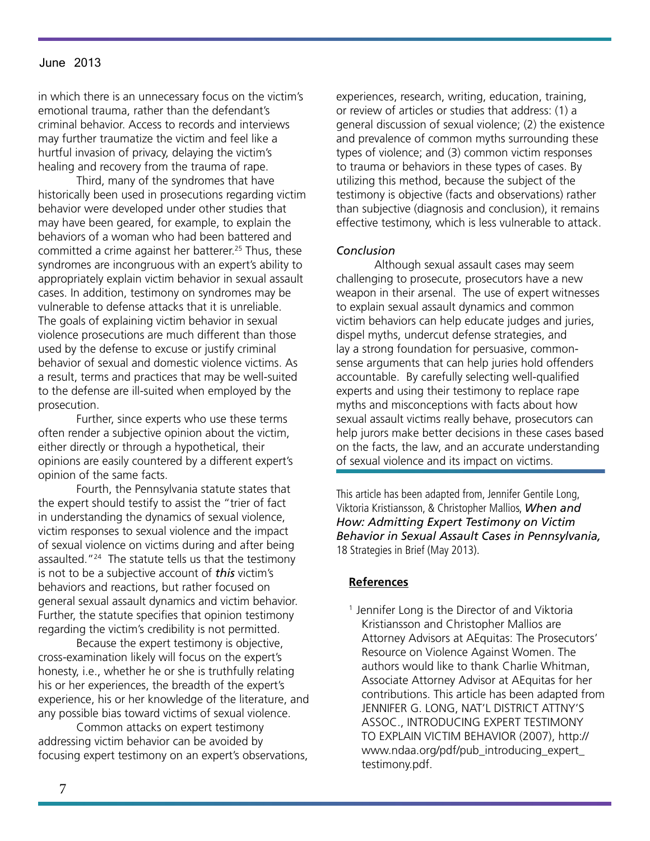in which there is an unnecessary focus on the victim's emotional trauma, rather than the defendant's criminal behavior. Access to records and interviews may further traumatize the victim and feel like a hurtful invasion of privacy, delaying the victim's healing and recovery from the trauma of rape.

Third, many of the syndromes that have historically been used in prosecutions regarding victim behavior were developed under other studies that may have been geared, for example, to explain the behaviors of a woman who had been battered and committed a crime against her batterer.<sup>25</sup> Thus, these syndromes are incongruous with an expert's ability to appropriately explain victim behavior in sexual assault cases. In addition, testimony on syndromes may be vulnerable to defense attacks that it is unreliable. The goals of explaining victim behavior in sexual violence prosecutions are much different than those used by the defense to excuse or justify criminal behavior of sexual and domestic violence victims. As a result, terms and practices that may be well-suited to the defense are ill-suited when employed by the prosecution.

Further, since experts who use these terms often render a subjective opinion about the victim, either directly or through a hypothetical, their opinions are easily countered by a different expert's opinion of the same facts.

Fourth, the Pennsylvania statute states that the expert should testify to assist the "trier of fact in understanding the dynamics of sexual violence, victim responses to sexual violence and the impact of sexual violence on victims during and after being assaulted."24 The statute tells us that the testimony is not to be a subjective account of *this* victim's behaviors and reactions, but rather focused on general sexual assault dynamics and victim behavior. Further, the statute specifies that opinion testimony regarding the victim's credibility is not permitted.

Because the expert testimony is objective, cross-examination likely will focus on the expert's honesty, i.e., whether he or she is truthfully relating his or her experiences, the breadth of the expert's experience, his or her knowledge of the literature, and any possible bias toward victims of sexual violence.

Common attacks on expert testimony addressing victim behavior can be avoided by focusing expert testimony on an expert's observations, experiences, research, writing, education, training, or review of articles or studies that address: (1) a general discussion of sexual violence; (2) the existence and prevalence of common myths surrounding these types of violence; and (3) common victim responses to trauma or behaviors in these types of cases. By utilizing this method, because the subject of the testimony is objective (facts and observations) rather than subjective (diagnosis and conclusion), it remains effective testimony, which is less vulnerable to attack.

### *Conclusion*

Although sexual assault cases may seem challenging to prosecute, prosecutors have a new weapon in their arsenal. The use of expert witnesses to explain sexual assault dynamics and common victim behaviors can help educate judges and juries, dispel myths, undercut defense strategies, and lay a strong foundation for persuasive, commonsense arguments that can help juries hold offenders accountable. By carefully selecting well-qualified experts and using their testimony to replace rape myths and misconceptions with facts about how sexual assault victims really behave, prosecutors can help jurors make better decisions in these cases based on the facts, the law, and an accurate understanding of sexual violence and its impact on victims.

This article has been adapted from, Jennifer Gentile Long, Viktoria Kristiansson, & Christopher Mallios, *When and How: Admitting Expert Testimony on Victim Behavior in Sexual Assault Cases in Pennsylvania,*  18 Strategies in Brief (May 2013).

### **References**

<sup>1</sup> Jennifer Long is the Director of and Viktoria Kristiansson and Christopher Mallios are Attorney Advisors at AEquitas: The Prosecutors' Resource on Violence Against Women. The authors would like to thank Charlie Whitman, Associate Attorney Advisor at AEquitas for her contributions. This article has been adapted from JENNIFER G. LONG, NAT'L DISTRICT ATTNY'S ASSOC., INTRODUCING EXPERT TESTIMONY TO EXPLAIN VICTIM BEHAVIOR (2007), http:// www.ndaa.org/pdf/pub\_introducing\_expert\_ testimony.pdf.